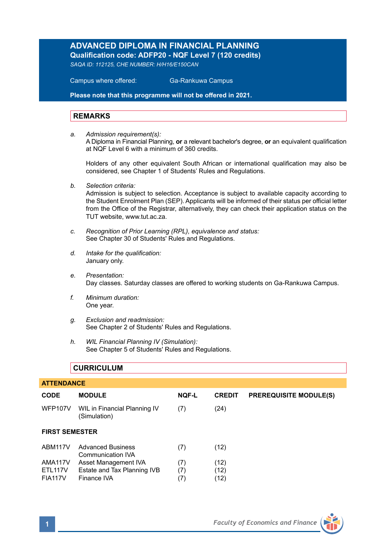# **ADVANCED DIPLOMA IN FINANCIAL PLANNING**

**Qualification code: ADFP20 - NQF Level 7 (120 credits)** 

*SAQA ID: 112125, CHE NUMBER: H/H16/E150CAN* 

 Campus where offered: Ga-Rankuwa Campus

**Please note that this programme will not be offered in 2021.**

#### **REMARKS**

*a. Admission requirement(s):*  A Diploma in Financial Planning, **or** a relevant bachelor's degree, **or** an equivalent qualification at NQF Level 6 with a minimum of 360 credits.

Holders of any other equivalent South African or international qualification may also be considered, see Chapter 1 of Students' Rules and Regulations.

*b. Selection criteria:*

Admission is subject to selection. Acceptance is subject to available capacity according to the Student Enrolment Plan (SEP). Applicants will be informed of their status per official letter from the Office of the Registrar, alternatively, they can check their application status on the TUT website, www.tut.ac.za.

- *c. Recognition of Prior Learning (RPL), equivalence and status:* See Chapter 30 of Students' Rules and Regulations.
- *d. Intake for the qualification:* January only.
- *e. Presentation:* Day classes. Saturday classes are offered to working students on Ga-Rankuwa Campus.
- *f. Minimum duration:* One year.
- *g. Exclusion and readmission:* See Chapter 2 of Students' Rules and Regulations.
- *h. WIL Financial Planning IV (Simulation):* See Chapter 5 of Students' Rules and Regulations.

### **CURRICULUM**

| <b>ATTENDANCE</b>                                |                                                                    |                   |                      |                               |  |  |  |
|--------------------------------------------------|--------------------------------------------------------------------|-------------------|----------------------|-------------------------------|--|--|--|
| <b>CODE</b>                                      | <b>MODULE</b>                                                      | <b>NOF-L</b>      | <b>CREDIT</b>        | <b>PREREQUISITE MODULE(S)</b> |  |  |  |
| WFP107V                                          | WIL in Financial Planning IV<br>(Simulation)                       | (7)               | (24)                 |                               |  |  |  |
| <b>FIRST SEMESTER</b>                            |                                                                    |                   |                      |                               |  |  |  |
| ABM117V                                          | <b>Advanced Business</b><br>Communication IVA                      | (7)               | (12)                 |                               |  |  |  |
| AMA117V<br>ETL <sub>117V</sub><br><b>FIA117V</b> | Asset Management IVA<br>Estate and Tax Planning IVB<br>Finance IVA | (7)<br>(7)<br>(7) | (12)<br>(12)<br>(12) |                               |  |  |  |

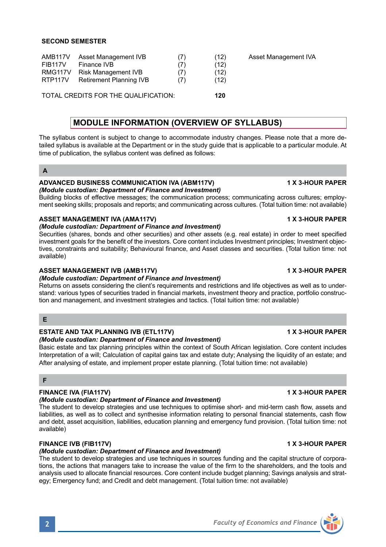| AMB <sub>117</sub> V<br><b>FIB117V</b><br>RMG117V<br><b>RTP117V</b> | Asset Management IVB<br>Finance IVB<br><b>Risk Management IVB</b><br><b>Retirement Planning IVB</b> | (7)<br>(7) | (12)<br>(12)<br>(12)<br>(12) | Asset Management IVA |
|---------------------------------------------------------------------|-----------------------------------------------------------------------------------------------------|------------|------------------------------|----------------------|
|                                                                     | TOTAL CREDITS FOR THE QUALIFICATION:                                                                | 120        |                              |                      |

# **MODULE INFORMATION (OVERVIEW OF SYLLABUS)**

The syllabus content is subject to change to accommodate industry changes. Please note that a more detailed syllabus is available at the Department or in the study guide that is applicable to a particular module. At time of publication, the syllabus content was defined as follows:

# **ADVANCED BUSINESS COMMUNICATION IVA (ABM117V) 1 X 3-HOUR PAPER**

*(Module custodian: Department of Finance and Investment)* Building blocks of effective messages; the communication process; communicating across cultures; employ-

ment seeking skills; proposals and reports; and communicating across cultures. (Total tuition time: not available)

## ASSET MANAGEMENT IVA (AMA117V) **1 X 3-HOUR PAPER**

*(Module custodian: Department of Finance and Investment)*

Securities (shares, bonds and other securities) and other assets (e.g. real estate) in order to meet specified investment goals for the benefit of the investors. Core content includes Investment principles; Investment objectives, constraints and suitability; Behavioural finance, and Asset classes and securities. (Total tuition time: not available)

### ASSET MANAGEMENT IVB (AMB117V) **1 ASSET MANAGEMENT IVB**

### *(Module custodian: Department of Finance and Investment)*

Returns on assets considering the client's requirements and restrictions and life objectives as well as to understand: various types of securities traded in financial markets, investment theory and practice, portfolio construction and management, and investment strategies and tactics. (Total tuition time: not available)

#### **E**

### **ESTATE AND TAX PLANNING IVB (ETL117V)** 1 1 X 3-HOUR PAPER

### *(Module custodian: Department of Finance and Investment)*

Basic estate and tax planning principles within the context of South African legislation. Core content includes Interpretation of a will; Calculation of capital gains tax and estate duty; Analysing the liquidity of an estate; and After analysing of estate, and implement proper estate planning. (Total tuition time: not available)

### **F**

#### FINANCE IVA (FIA117V) **1 X 3-HOUR PAPER**

#### *(Module custodian: Department of Finance and Investment)*

The student to develop strategies and use techniques to optimise short- and mid-term cash flow, assets and liabilities, as well as to collect and synthesise information relating to personal financial statements, cash flow and debt, asset acquisition, liabilities, education planning and emergency fund provision. (Total tuition time: not available)

### **FINANCE IVB (FIB117V) 1 X 3-HOUR PAPER**

### *(Module custodian: Department of Finance and Investment)*

The student to develop strategies and use techniques in sources funding and the capital structure of corporations, the actions that managers take to increase the value of the firm to the shareholders, and the tools and analysis used to allocate financial resources. Core content include budget planning; Savings analysis and strategy; Emergency fund; and Credit and debt management. (Total tuition time: not available)



**2** *Faculty of Economics and Finance*

**A**